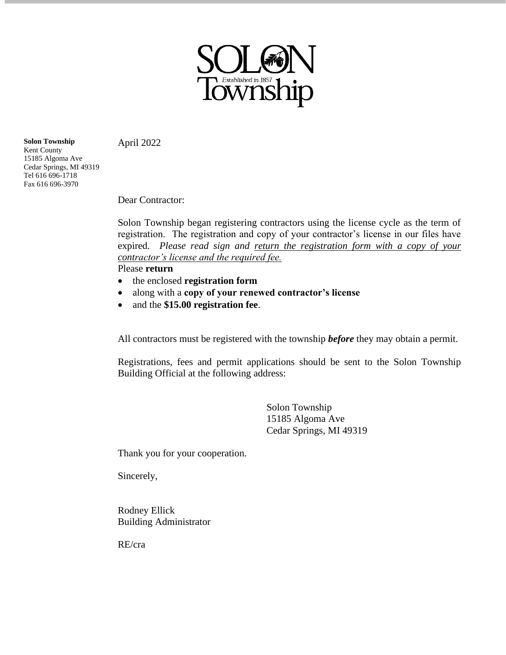

April 2022

**Solon Township** Kent County 15185 Algoma Ave Cedar Springs, MI 49319 Tel 616 696-1718 Fax 616 696-3970

Dear Contractor:

Solon Township began registering contractors using the license cycle as the term of registration. The registration and copy of your contractor's license in our files have expired. *Please read sign and return the registration form with a copy of your contractor's license and the required fee.*

Please **return**

- the enclosed **registration form**
- along with a **copy of your renewed contractor's license**
- and the **\$15.00 registration fee**.

All contractors must be registered with the township *before* they may obtain a permit.

Registrations, fees and permit applications should be sent to the Solon Township Building Official at the following address:

> Solon Township 15185 Algoma Ave Cedar Springs, MI 49319

Thank you for your cooperation.

Sincerely,

Rodney Ellick Building Administrator

RE/cra